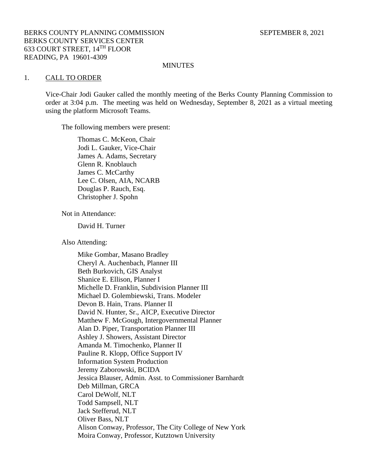#### **MINUTES**

#### 1. CALL TO ORDER

Vice-Chair Jodi Gauker called the monthly meeting of the Berks County Planning Commission to order at 3:04 p.m. The meeting was held on Wednesday, September 8, 2021 as a virtual meeting using the platform Microsoft Teams.

The following members were present:

Thomas C. McKeon, Chair Jodi L. Gauker, Vice-Chair James A. Adams, Secretary Glenn R. Knoblauch James C. McCarthy Lee C. Olsen, AIA, NCARB Douglas P. Rauch, Esq. Christopher J. Spohn

Not in Attendance:

David H. Turner

Also Attending:

Mike Gombar, Masano Bradley Cheryl A. Auchenbach, Planner III Beth Burkovich, GIS Analyst Shanice E. Ellison, Planner I Michelle D. Franklin, Subdivision Planner III Michael D. Golembiewski, Trans. Modeler Devon B. Hain, Trans. Planner II David N. Hunter, Sr., AICP, Executive Director Matthew F. McGough, Intergovernmental Planner Alan D. Piper, Transportation Planner III Ashley J. Showers, Assistant Director Amanda M. Timochenko, Planner II Pauline R. Klopp, Office Support IV Information System Production Jeremy Zaborowski, BCIDA Jessica Blauser, Admin. Asst. to Commissioner Barnhardt Deb Millman, GRCA Carol DeWolf, NLT Todd Sampsell, NLT Jack Stefferud, NLT Oliver Bass, NLT Alison Conway, Professor, The City College of New York Moira Conway, Professor, Kutztown University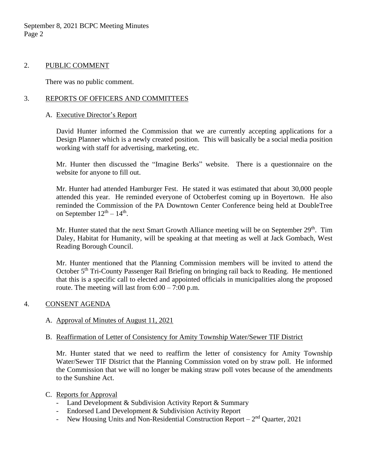September 8, 2021 BCPC Meeting Minutes Page 2

### 2. PUBLIC COMMENT

There was no public comment.

# 3. REPORTS OF OFFICERS AND COMMITTEES

#### A. Executive Director's Report

David Hunter informed the Commission that we are currently accepting applications for a Design Planner which is a newly created position. This will basically be a social media position working with staff for advertising, marketing, etc.

Mr. Hunter then discussed the "Imagine Berks" website. There is a questionnaire on the website for anyone to fill out.

Mr. Hunter had attended Hamburger Fest. He stated it was estimated that about 30,000 people attended this year. He reminded everyone of Octoberfest coming up in Boyertown. He also reminded the Commission of the PA Downtown Center Conference being held at DoubleTree on September  $12^{th} - 14^{th}$ .

Mr. Hunter stated that the next Smart Growth Alliance meeting will be on September 29<sup>th</sup>. Tim Daley, Habitat for Humanity, will be speaking at that meeting as well at Jack Gombach, West Reading Borough Council.

Mr. Hunter mentioned that the Planning Commission members will be invited to attend the October 5<sup>th</sup> Tri-County Passenger Rail Briefing on bringing rail back to Reading. He mentioned that this is a specific call to elected and appointed officials in municipalities along the proposed route. The meeting will last from  $6:00 - 7:00$  p.m.

# 4. CONSENT AGENDA

# A. Approval of Minutes of August 11, 2021

# B. Reaffirmation of Letter of Consistency for Amity Township Water/Sewer TIF District

Mr. Hunter stated that we need to reaffirm the letter of consistency for Amity Township Water/Sewer TIF District that the Planning Commission voted on by straw poll. He informed the Commission that we will no longer be making straw poll votes because of the amendments to the Sunshine Act.

#### C. Reports for Approval

- Land Development & Subdivision Activity Report & Summary
- Endorsed Land Development & Subdivision Activity Report
- New Housing Units and Non-Residential Construction Report  $-2<sup>nd</sup>$  Quarter, 2021